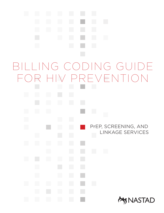# $\mathcal{L}_{\mathcal{A}}$  $\Box$ r i Billing Coding Guide for HIV Preventionand in PrEP, SCREENING, AND h, Linkage Services  $\mathcal{L}_{\mathcal{A}}$  $\mathbb{R}^2$  $\mathcal{L}_{\mathcal{A}}$ and in **EX NASTAD**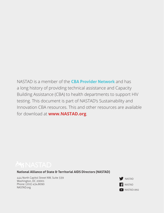NASTAD is a member of the **[CBA Provider Network](http://www.cbaproviders.org)** and has a long history of providing technical assistance and Capacity Building Assistance (CBA) to health departments to support HIV testing. This document is part of NASTAD's Sustainability and Innovation CBA resources. This and other resources are available for download at **<www.NASTAD.org>**.

**National Alliance of State & Territorial AIDS Directors (NASTAD)**

444 North Capitol Street NW, Suite 339 Washington, DC 20001 Phone: (202) 434.8090 NASTAD.org Nastang Nastang Nastang Nastang Nastang Nastang Nastang Nastang Nastang Nastang Nastang Nastang Nas

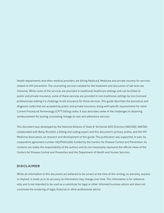Health departments and other medical providers are billing Medicaid, Medicare and private insurers for services related to HIV prevention. The counseling services needed for the treatment and discussion of lab tests are intensive. While some of the services are provided in traditional healthcare settings and can be billed to public and private insurance, some of these services are provided in non-traditional settings by non-licensed professionals making it a challenge to bill insurance for these services. This guide describes the procedure and diagnosis codes that are accepted by public and private insurance, along with specific requirements for some Current Procedural Terminology (CPT®) billing codes. It also describes some of the challenges in obtaining reimbursement for testing, counseling, linkage to care and adherence services.

This document was developed by the National Alliance of State & Territorial AIDS Directors (NASTAD). NASTAD collaborated with Betsy Nicoletti, a billing and coding expert and this document's primary author, and the HIV Medicine Association, on research and development of this guide. This publication was supported, in part, by cooperative agreement number U65PS004390, funded by the Centers for Disease Control and Prevention. Its contents are solely the responsibility of the authors and do not necessarily represent the official views of the Centers for Disease Control and Prevention and the Department of Health and Human Services.

#### Disclaimer

While all information in this document are believed to be correct at the time of this writing, no warranty, express or implied, is made as to its accuracy as information may change over time. This information is for reference only and is not intended to be used as a substitute for legal or other informed business advice and does not constitute the rendering of legal, financial or other professional advice.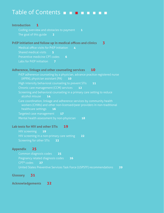### <span id="page-3-0"></span>Table of Contents **BEET BEET**

| <b>Introduction</b><br>1                                                                                                                                                      |
|-------------------------------------------------------------------------------------------------------------------------------------------------------------------------------|
| Coding overview and obstacles to payment<br>$\mathbf{1}$                                                                                                                      |
| The goal of this guide<br>$\sim$ 2                                                                                                                                            |
| PrEP initiation and follow up in medical offices and clinics<br>3                                                                                                             |
| Medical office visits for PrEP initiation<br>$\overline{4}$                                                                                                                   |
| Shared medical visits<br>$-5$                                                                                                                                                 |
| Preventive medicine CPT codes<br>6                                                                                                                                            |
| Labs for PrEP initiation<br>- 7                                                                                                                                               |
| Adherence, linkage and other counseling services<br>10                                                                                                                        |
| PrEP adherence counseling by a physician, advance practice registered nurse<br>(APRN), physician assistant (PA)<br>$\blacksquare$ 10                                          |
| High intensity behavioral counseling to prevent STIs<br>11                                                                                                                    |
| Chronic care management (CCM) services<br>12                                                                                                                                  |
| Screening and behavioral counseling in a primary care setting to reduce<br>alcohol misuse<br>14                                                                               |
| Care coordination, linkage and adherence services by community health<br>workers (CHWs) and other non-licensed/peer providers in non-traditional<br>healthcare settings<br>16 |
| Targeted case management<br>17                                                                                                                                                |
| Mental health assessment by non-physician<br>18                                                                                                                               |
| Lab tests for HIV and other STIs<br>19                                                                                                                                        |
| <b>HIV screening</b><br>19                                                                                                                                                    |
| HIV screening in a non-primary care setting<br>22                                                                                                                             |
| Screening for other STIs<br>23                                                                                                                                                |

#### **[Appendix](#page-28-0) 25**

[Common diagnosis codes](#page-28-0) **25** [Pregnancy related diagnosis codes](#page-29-0) **26** [CPT® codes](#page-30-0) **27** [United States Preventive Services Task Force \(USPSTF\) recommendations](#page-32-0) **29**

**[Glossary](#page-34-0) 31**

**[Acknowledgements](#page-35-0) 32**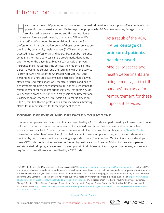### <span id="page-4-0"></span>Introduction

ealth department HIV prevention programs and the medical providers they support offer a range of vital prevention services—including HIV Pre-exposure prophylaxis (PrEP) access services, linkage to care H

services, adherence counseling and HIV testing. Some of these services are performed by physicians, APRNs or PAs or the staff working under the supervision of these medical professionals. As an alternative, some of these same services are provided by community health workers (CHWs) or other nonlicensed health professionals and peers.<sup>1</sup> Payment by insurance companies for these services can be problematic, depending upon whether the payer (e.g., Medicare, Medicaid or private insurance plans) recognizes the service, the credentials of the person proving the service, and the setting in which the service is provided. As a result of the Affordable Care Act (ACA), the percentage of uninsured patients has decreased (especially in states with Medicaid expansion). Medical practices and health departments are being encouraged to bill patients' insurance for reimbursement for these important services. This coding guide will describe procedure (CPT®) and diagnosis code (International Classification of Diseases, 10th revision, Clinical Modification, ICD-10) that health care professionals can use when submitting claims for reimbursement for these important services.

As a result of the ACA, the **percentage of uninsured patients has decreased**. Medical practices and health departments are being encouraged to bill patients' insurance for reimbursement for these important services.

#### Coding overview and obstacles to payment

Insurance companies pay for services that are described by a CPT® code and performed by a licensed practitioner or for work performed under the supervision of a licensed practitioner. Services are paid based on a fee associated with each CPT® code. In some instances, a set of services will be reimbursed at a ["bundled" rate](http://www.ama-assn.org/ama/pub/advocacy/state-advocacy-arc/state-advocacy-campaigns/private-payer-reform/state-based-payment-reform/evaluating-payment-options/bundled-payments.page) instead of based on fee-for-service. (A bundled payment covers multiple services, and may include services provided by two or more providers for a single episode of care.) The American Medical Association develops these CPT® codes to describe services performed by healthcare providers. Individual insurance companies and state Medicaid programs are free to develop a set of reimbursement and payment guidelines, and are not required to cover all services described by a CPT® code.



<sup>&</sup>lt;sup>1</sup> In 2013, the Centers for Medicare and Medicaid Services (CMS) [amended federal preventive services Medicaid regulations](https://www.medicaid.gov/Federal-Policy-Guidance/Downloads/CIB-11-27-2013-Prevention.pdf) to allow CHWs and other non-licensed providers to provide preventive services and have those services paid by state Medicaid programs when the services are *recommended* by a physician or other licensed provider. However, the state Medicaid program department must apply to CMS to be able to do this. CMS Center for Medicaid and CHIP Services Bulletin, Update on Preventive Services Initiatives, available at [https://www.medicaid.](https://www.medicaid.gov/Federal-Policy-Guidance/Downloads/CIB-11-27-2013-Prevention.pdf) [gov/Federal-Policy-Guidance/Downloads/CIB-11-27-2013-Prevention.pdf](https://www.medicaid.gov/Federal-Policy-Guidance/Downloads/CIB-11-27-2013-Prevention.pdf); CMS Presentation "Medicaid Preventive Services Regulatory Change" Division of Benefits and Coverage, Disabled and Elderly Health Programs Group, Center for Medicaid and CHIP Services, April 2014, available at [https://www.medicaid.gov/Medicaid-CHIP-Program-Information/By-Topics/Benefits/Downloads/Preventive-Webinar-](https://www.medicaid.gov/Medicaid-CHIP-Program-Information/By-Topics/Benefits/Downloads/Preventive-Webinar-Presentation-4-9-14.pdf)[Presentation-4-9-14.pdf](https://www.medicaid.gov/Medicaid-CHIP-Program-Information/By-Topics/Benefits/Downloads/Preventive-Webinar-Presentation-4-9-14.pdf).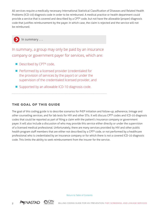<span id="page-5-0"></span>All services require a medically necessary International Statistical Classification of Diseases and Related Health Problems (ICD-10) diagnosis code in order to be reimbursed. A medical practice or health department could provide a service that is covered and described by a CPT® code, but not have the allowable (proper) diagnosis code that justifies reimbursement by the payer. In which case, the claim is rejected and the service will not be reimbursed.

In summary . . .

In summary, a group may only be paid by an insurance company or government payer for services, which are:

- Described by CPT<sup>®</sup> code,
- $\blacksquare$  Performed by a licensed provider (credentialed for the provision of services by the payor) or under the supervision of the credentialed licensed provider, and
- $\blacksquare$  Supported by an allowable ICD-10 diagnosis code.

#### The goal of this guide

The goal of this coding guide is to describe scenarios for PrEP initiation and follow-up, adherence, linkage and other counseling services, and for lab tests for HIV and other STIs. It will discuss CPT® codes and ICD-10 diagnosis codes that could be reported as part of filing a claim with the patient's insurance company or government payer. It will also include a discussion of who may provide this service either directly or under the supervision of a licensed medical professional. Unfortunately, there are many services provided by HIV and other public health program staff members that are either not described by a CPT® code, or not performed by a healthcare professional who is credentialed by an insurance company or for which there is not a covered ICD-10 diagnosis code. This limits the ability to seek reimbursement from the insurer for the service.



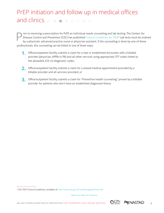## <span id="page-6-0"></span>PrEP initiation and follow up in medical offices and clinics

rior to receiving a prescription for PrEP, an individual needs counseling and lab testing. The Centers for Disease Control and Prevention (CDC) has published [Clinical Guidelines for PrEP](http://www.cdc.gov/hiv/pdf/prepguidelines2014.pdf). 2 Lab tests must be ordered by a physician, advanced practice nurse or physician assistant. If the counseling is done by one of these professionals, this counseling can be billed in one of three ways: P

- **1.** Office/outpatient facility submits a claim for a new or established encounter with a billable provider (physician, APRN or PA) and all other services using appropriate CPT codes linked to the allowable ICD-10 diagnostic codes;
- 2. Office/outpatient facility submits a claim for a shared medical appointment provided by a billable provider and all services provided; or
- **3.** Office/outpatient facility submits a claim for "Preventive health counseling" proved by a billable provider for patients who don't have an established diagnosed illness.



<sup>2</sup>CDC PrEP Clinical Guidelines, available at <http://www.cdc.gov/hiv/pdf/prepguidelines.pdf>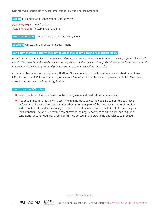#### <span id="page-7-0"></span>Medical office visits for PrEP initiation

 **Codes:** Evaluation and Management (E/M) services

99201–99205 for "new" patients 99211-99215 for "established" patients.

 **Who can perform:** Credentialed physicians, APRN, and PAs

 **Location:** Office, clinic or outpatient department

#### **Can a staff member perform the service under the supervision of a licensed provider?**

*Note: Insurance companies and state Medicaid programs develop their own rules about services performed by a staff member "incident" to a licensed clinician and supervised by the clinician. This guide addresses the Medicare rules and many state Medicaid programs and private insurance companies follow these rules.*

A staff member who is not a physician, APRN, or PA may only report the lowest level established patient visit, 99211. This code, 99211, is commonly known as a "nurse" visit. For Medicare, or payers that follow Medicare rules, this must meet "incident to" guidelines.

#### **How to use the E/M codes:**

- **n** Select the level of service based on the history, exam and medical decision making.
- If counseling dominates the visit, use time in minutes to select the code. Document the total faceto-face time of the service, the statement that more than 50% of the time was spent in discussion and the nature of the discussion (e.g., I spent 15 minutes in face-to-face with Mr. XXX discussing the risks, benefits, limitations, possible complications, dosing, importance of adherence, and required conditions for continued prescribing of PrEP. He voiced an understanding and wishes to proceed).



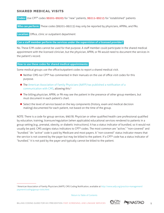#### <span id="page-8-0"></span>Shared medical visits

 **Codes:** Use CPT® codes 99201–99205 for "new" patients, 99211–99215 for "established" patients

 **Who can perform:** These codes (99201–99215) may only be reported by physicians, APRNs, and PAs.

 **Location:** Office, clinic or outpatient department

#### **Can a staff member perform the services under the supervision of a licensed provider?**

No. These E/M codes cannot be used for that purpose. A staff member could participate in the shared medical appointment with the licensed clinician, but the physician, APRN, or PA would need to document the services in the patient's record.

#### **How to use these codes for shared medical appointments:**

Some medical groups use the office/outpatient codes to report a shared medical visit.

- $\blacksquare$  Neither CMS nor CPT® has commented in their manuals on the use of office visit codes for this purpose.
- The American Association of Family Physicians (AAFP) has published a notification of a [communication with CMS,](http://www.aafp.org/practice-management/payment/coding/group-visits.html) allowing this.3
- **n** The billing physician, APRN, or PA may see the patient in the presence of other group members, but must document in each patient's chart.
- **n** Select the level of service based on the key components (history, exam and medical decision making) documented for each patient, not based on the time of the group.

NOTE: There is a code for group services, 99078. Physician or other qualified health care professional qualified by education, training, licensure/regulation (when applicable) educational services rendered to patients in a group setting (e.g., prenatal, obesity, or diabetic instructions). It has a status indicator of bundled, so it would not usually be paid. CMS assigns status indicators to CPT® codes. The most common are "active," "non-covered" and "bundled." An "active" code is paid by Medicare and most payers. A "non-covered" status indicator means that the service is not covered by the payer but may be billed to the patient. If a CPT® code has a status indicator of "bundled," it is not paid by the payer and typically cannot be billed to the patient.



<sup>3</sup>American Association of Family Physicians (AAFP), CMS Coding Notification, available at [http://www.aafp.org/practice-management/](http://www.aafp.org/practice-management/payment/coding/group-visits.html) [payment/coding/group-visits.html](http://www.aafp.org/practice-management/payment/coding/group-visits.html)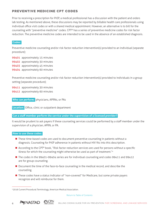#### <span id="page-9-0"></span>Preventive medicine CPT codes

Prior to receiving a prescription for PrEP, a medical professional has a discussion with the patient and orders lab testing. As mentioned above, these discussions may be reported by billable health care professionals using individual office visit codes or with a shared medical appointment. However, an alternative is to bill for the counseling with "preventive medicine" codes. CPT® has a series of preventive medicine codes for risk factor reduction. The preventive medicine codes are intended to be used in the absence of an established diagnosis.

#### **Codes:**

Preventive medicine counseling and/or risk factor reduction intervention(s) provided to an individual (separate procedure);

99401 approximately 15 minutes

- 99402 approximately 30 minutes
- 99403 approximately 45 minutes
- 99404 approximately 60 minutes

Preventive medicine counseling and/or risk factor reduction intervention(s) provided to individuals in a group setting (separate procedure);

99411 approximately 30 minutes 99412 approximately 60 minutes

 **Who can perform:** physicians, APRNs, or PAs

 **Location:** Office, clinic or outpatient department

#### **Can a staff member perform the service under the supervision of a licensed provider?**

It would be prudent to ask payers if these counseling services could be performed by a staff member under the supervision of a physician, APRN, or PA.

#### **How to use these codes:**

- **n** These time-based codes are used to document preventive counseling in patients without a diagnosis. Counseling for PrEP adherence in patients without HIV fits into this description.
- According to the CPT® book, "Risk factor reduction services are used for persons without a specific illness for which the counseling might otherwise be used as part of treatment."4
- The codes in the 99401–99404 series are for individual counseling and codes 99411 and 99412 are for group counseling.
- **n** Document the time of the face-to-face counseling in the medical record, and describe the counseling.
- **n** These codes have a status indicator of "non-covered" for Medicare, but some private payers recognize and will reimburse for them.





<sup>42016</sup> Current Procedural Terminology, American Medical Association.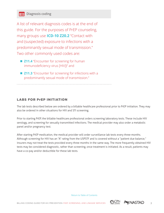<span id="page-10-0"></span>A [list of relevant diagnosis codes](#page-28-0) is at the end of this guide. For the purposes of PrEP counseling, many groups use **ICD-10 Z20.2** "Contact with and (suspected) exposure to infections with a predominantly sexual mode of transmission." Two other commonly used codes are:

- **Z11.4** "Encounter for screening for human immunodeficiency virus [HIV])" and
- Z11.3 "Encounter for screening for infections with a predominantly sexual mode of transmission."

#### Labs for PrEP initiation

The lab tests described below are ordered by a billable healthcare professional prior to PrEP initiation. They may also be ordered in other situations for HIV and STI screening.

Prior to starting PrEP, the billable healthcare professional orders screening laboratory tests. These include HIV serology, and screening for sexually transmitted infections. The medical provider may also order a metabolic panel and/or pregnancy test.

After starting PrEP medication, the medical provider will order surveillance lab tests every three-months. Although screening for HIV has an "A" rating from the USPSTF and is covered without a "patient due balance," insurers may not treat the tests provided every three months in the same way. The more frequently obtained HIV tests may be considered diagnostic, rather than screening, once treatment is initiated. As a result, patients may have a co-pay and/or deductible for these lab tests.

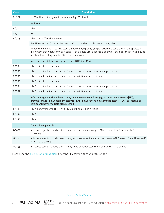| <b>Code</b> | <b>Description</b>                                                                                                                                                                                                                                                         |  |
|-------------|----------------------------------------------------------------------------------------------------------------------------------------------------------------------------------------------------------------------------------------------------------------------------|--|
| 86689       | HTLV or HIV antibody, confirmatory test (eg, Western Blot)                                                                                                                                                                                                                 |  |
|             | Antibody                                                                                                                                                                                                                                                                   |  |
| 86701       | $HIV-1$                                                                                                                                                                                                                                                                    |  |
| 86702       | $HIV-2$                                                                                                                                                                                                                                                                    |  |
| 86703       | HIV-1 and HIV-2, single result                                                                                                                                                                                                                                             |  |
|             | (For HIV-1 antigen(s) with HIV-1 and HIV-2 antibodies, single result, use 87389)                                                                                                                                                                                           |  |
|             | (When HIV immunoassay [HIV testing 86701-86703 or 87389] is performed using a kit or transportable<br>instrument that wholly or in part consists of a single use, disposable analytical chamber, the service may be<br>identified by adding modifier 92 to the usual code) |  |
|             | Infectious agent detection by nucleic acid (DNA or RNA)                                                                                                                                                                                                                    |  |
| 87534       | HIV-1, direct probe technique                                                                                                                                                                                                                                              |  |
| 87535       | HIV-1, amplified probe technique, includes reverse transcription when performed                                                                                                                                                                                            |  |
| 87536       | HIV-1, quantification, includes reverse transcription when performed                                                                                                                                                                                                       |  |
| 87357       | HIV-2, direct probe technique                                                                                                                                                                                                                                              |  |
| 87538       | HIV-2, amplified probe technique, includes reverse transcription when performed                                                                                                                                                                                            |  |
| 87539       | HIV-2, quantification, includes reverse transcription when performed                                                                                                                                                                                                       |  |
|             | Infectious agent antigen detection by immunoassay technique, (eg, enzyme immunoassay [EIA],<br>enzyme- linked immunosorbent assay [ELISA], immunochemiluminometric assay [IMCA]) qualitative or<br>semiquantitative, multiple-step method                                  |  |
| 87389       | HIV-1 antigen(s), with HIV-1 and HIV-2 antibodies, single result                                                                                                                                                                                                           |  |
| 87390       | $HIV-1$                                                                                                                                                                                                                                                                    |  |
| 87391       | $HIV-2$                                                                                                                                                                                                                                                                    |  |
|             | For Medicare patients                                                                                                                                                                                                                                                      |  |
| G0432       | Infectious agent antibody detection by enzyme immunoassay (EIA) technique, HIV-1 and/or HIV-2,<br>screening                                                                                                                                                                |  |
| G0433       | Infectious agent antibody detection by enzyme-linked immunosorbent asssay (ELISA) technique, HIV-1 and/<br>or HIV-2, screening                                                                                                                                             |  |
| G0435       | Infectious agent antibody detection by rapid antibody test, HIV-1 and/or HIV-2, screening                                                                                                                                                                                  |  |

Please see the discussion of modifiers [after the HIV testing section of this guide.](#page-23-0)

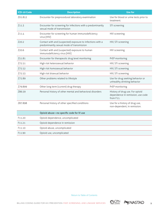| <b>ICD-10 Code</b> | <b>Description</b>                                                                                      | <b>Use for</b>                                                                    |
|--------------------|---------------------------------------------------------------------------------------------------------|-----------------------------------------------------------------------------------|
| Z01.812            | Encounter for preprocedural laboratory examination                                                      | Use for blood or urine tests prior to<br>treatment.                               |
| Z11.3              | Encounter for screening for infections with a predominantly<br>sexual mode of transmission              | STI screening                                                                     |
| Z11.4              | Encounter for screening for human immunodeficiency<br>virus [HIV]                                       | HIV screening                                                                     |
| Z20.2              | Contact with and (suspected) exposure to infections with a<br>predominantly sexual mode of transmission | HIV, STI screening                                                                |
| Z <sub>20.6</sub>  | Contact with and (suspected) exposure to human<br>immunodeficiency virus [HIV]                          | HIV screening                                                                     |
| Z51.81             | Encounter for therapeutic drug level monitoring                                                         | PrEP monitoring                                                                   |
| Z72.51             | High risk heterosexual behavior                                                                         | HIV, STI screening                                                                |
| Z72.52             | High risk homosexual behavior                                                                           | HIV, STI screening                                                                |
| Z72.53             | High risk bisexual behavior                                                                             | HIV, STI screening                                                                |
| Z72.89             | Other problems related to lifestyle                                                                     | Use for drug seeking behavior or<br>unhealthy drinking behavior                   |
| Z79.899            | Other long term (current) drug therapy                                                                  | PrEP monitoring                                                                   |
| Z86.59             | Personal history of other mental and behavioral disorders                                               | History of drug use. For opioid<br>dependence in remission, use code<br>from F11. |
| Z87.898            | Personal history of other specified conditions                                                          | Use for a history of drug use,<br>non-dependent, in remission.                    |
|                    | Opioid abuse-no specific code for IV use                                                                |                                                                                   |
| F11.20             | Opioid dependence, uncomplicated                                                                        |                                                                                   |
| F11.21             | Opioid dependence in remission                                                                          |                                                                                   |
| F11.10             | Opioid abuse, uncomplicated                                                                             |                                                                                   |
| F11.90             | Opioid use, uncomplicated                                                                               |                                                                                   |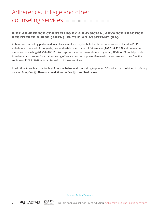#### <span id="page-13-0"></span>PrEP adherence counseling by a physician, advance practice registered Nurse (aprn), physician assistant (PA)

Adherence counseling performed in a physician office may be billed with the same codes as listed in PrEP initiation, at the start of this guide, new and established patient E/M services (99201–99215) and preventive medicine counseling (99401–99412). With appropriate documentation, a physician, APRN, or PA could provide time-based counseling for a patient using office visit codes or preventive medicine counseling codes. See the section on PrEP initiation for a discussion of these services.

In addition, there is a code for high intensity behavioral counseling to prevent STIs, which can be billed in primary care settings, G0445. There are restrictions on G0445, described below.



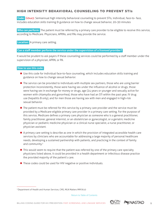#### <span id="page-14-0"></span>High intensity behavioral counseling to prevent STIs

 **Code:** G0445: Semiannual high intensity behavioral counseling to prevent STIs, individual, face-to- face, includes education skills training & guidance on how to change sexual behavior, 20-30 minutes

 **Who can perform:** The patient must be referred by a primary care provider to be eligible to receive this service, according to Medicare. Physicians, APRNs, and PAs may provide the service.

**Location:** A primary care setting.

#### **Can a staff member perform the service under the supervision of a licensed provider?**

It would be prudent to ask payers if these counseling services could be performed by a staff member under the supervision of a physician, APRN, or PA.

#### **How to use this code:**

- Use this code for individual face-to-face counseling, which includes education skills training and guidance on how to change sexual behavior.
- **n** The service can be provided to individuals with multiple sex partners, those who are using barrier protection inconsistently, those were having sex under the influence of alcohol or drugs, those were having sex in exchange for money or drugs, age (24 years or younger and sexually active for women with chlamydia and gonorrhea), those who have had an STI within the past year, IV drug use (hepatitis B only), and for men those are having sex with men and engaged in high-risk sexual behavior.
- **n** The patient must be referred for this service by a primary care provider and the service must be provided by a Medicare-eligible primary care provider in a primary care setting. For the purpose of this service, Medicare defines a primary care physician as someone who is a general practitioner, family practitioner, general internist, or an obstetrician or gynecologist, or a geriatric medicine physician or pediatric medicine physician or a clinical nurse specialist, a nurse practitioner, or physician assistant.
- A primary care setting is describe as one in which the provision of integrated accessible health care services by clinicians who are accountable for addressing a large majority of personal healthcare needs, developing a sustained partnership with patients, and practicing in the context of family and community.<sup>5</sup>
- **n** This would seem to require that the patient was referred by one of the primary care specialty physicians listed above, it could be provided in a health department or infectious disease practice the provided majority of the patient's care.
- These codes could be used for HIV negative or positive individuals.



<sup>5</sup> Department of Health and Human Services, CMS, MLN Matters MM7610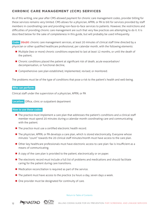#### <span id="page-15-0"></span>Chronic care management (CCM) services

As of this writing, one year after CMS allowed payment for chronic care management codes, provider billing for these services remains very limited. CMS allows for a physician, APRN, or PA to bill for services provided by staff members in coordinating care and providing non-face-to-face services to patients. However, the restrictions and difficulties of providing chronic care management are such that very few practices are attempting to do it. It is described below for the sake of completeness in this guide, but will probably be used infrequently.

 **Code:** 99490: chronic care management services, at least 20 minutes of clinical staff time directed by a physician or other qualified healthcare professional, per calendar month, with the following elements:

- Multiple (two or more) chronic conditions expected to last at least 12 months, or until the death of the patient,
- Chronic conditions placed the patient at significant risk of death, acute exacerbation/ decompensation, or functional decline,
- Comprehensive care plan established, implemented, revised, or monitored.

The problems must be of the type of conditions that pose a risk to the patient's health and well-being.

#### **Who can perform:**

Clinical staff under the supervision of a physician, APRN, or PA

 **Location:** Office, clinic or outpatient department

#### **How to use these codes:**

- **n** The practice must implement a care plan that addresses the patient's conditions and a clinical staff member must spend 20 minutes during a calendar month coordinating care and communicating with the patient.
- $\blacksquare$  The practice must use a certified electronic health record.
- The physician, APRN, or PA develops a care plan, which is stored electronically. Everyone whose minutes "count" towards the 20 clinical staff minutes/month must have access to the care plan.
- Other key healthcare professionals must have electronic access to care plan: fax is insufficient as a means of communicating.
- $\blacksquare$  A copy of the care plan is provided to the patient, electronically or on paper.
- **n** The electronic record must include a full list of problems and medications and should facilitate caring for the patient during care transitions.
- $\blacksquare$  Medication reconciliation is required as part of the service.
- $\blacksquare$  The patient must have access to the practice 24 hours a day, seven days a week.
- $\blacksquare$  One provider must be designated for continuity of care.



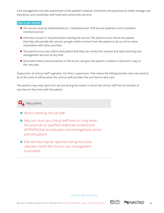Care management includes assessment of the patient's medical, functional and psychosocial needs manage care transitions, and coordinate with home and community services.

#### **How to get started:**

- The service must be implemented at a "comprehensive" E/M service (wellness visit or problem oriented service)
- Informed consent is required before starting the service. The practice must inform the patient that they will provide this service and get written consent from the patient to do so and to share information with other providers.
- **n** The practice must also inform that patient that they can revoke this consent and stop receiving care management services at any time.
- **D** Document these communications in the record, and give the patient a written or electronic copy of the care plan.

Supervision of clinical staff is general, not direct, supervision. That means the billing provider does not need to be in the suite of offices when the clinical staff provides the non-face-to-face care.

The practice may only report this service during the month in which the clinical staff has 20 minutes of non-face-to-face time with the patient.

### **Key points**

- $\blacksquare$  Work is done by clinical staff.
- $\blacksquare$  May not count any clinical staff time on a day when the physician or qualified healthcare professional (APRN/PA) has an evaluation and management service with the patient.
- $\blacksquare$  E/M services may be reported during the same calendar month the chronic care management is provided.

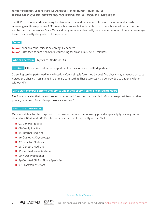#### <span id="page-17-0"></span>Screening and Behavioral Counseling in a Primary Care setting to Reduce Alcohol Misuse

The USPSTF recommends screening for alcohol misuse and behavioral interventions for individuals whose screening results are positive. CMS covers this service, but with limitations on which specialties can perform and be paid for the service. State Medicaid programs can individually decide whether or not to restrict coverage based on specialty designation of the provider.

#### **Codes:**

G0442 annual alcohol misuse screening, 15 minutes G0443 Brief face-to-face behavioral counseling for alcohol misuse, 15 minutes

 **Who can perform:** Physicians, APRNs, or PAs

 **Location:** Office, clinic, outpatient department or local or state health department

Screening can be performed in any location. Counseling is furnished by qualified physicians, advanced practice nurses and physician assistants in a primary care setting. These services may be provided to patients with or without HIV

#### **Can a staff member perform the service under the supervision of a licensed provider?**

Medicare indicates that the counseling is performed furnished by "qualified primary care physicians or other primary care practitioners in a primary care setting."

#### **How to use these codes:**

Medicare states: For the purposes of this covered service, the following provider specialty types may submit claims for G0442 and G0443. Infectious Disease is not a specialty on CMS' list.

- 01-General Practice
- 08-Family Practice
- 11-Internal Medicine
- 16-Obstetrics/Gynecology
- 37-Pediatric Medicine
- 38-Geriatric Medicine
- 42-Certified Nurse Midwife
- 50-Nurse Practitioner
- 89-Certified Clinical Nurse Specialist
- **n** 97-Physician Assistant



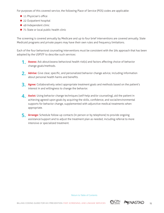For purposes of this covered service, the following Place of Service (POS) codes are applicable:

- 11 Physician's office
- 22 Outpatient hospital
- $\blacksquare$  49 Independent clinic
- 71 State or local public health clinic

The screening is covered annually by Medicare and up to four brief interventions are covered annually. State Medicaid programs and private payers may have their own rules and frequency limitations.

Each of the four behavioral counseling interventions must be consistent with the 5As approach that has been adopted by the USPSTF to describe such services:

- **1. Assess:** Ask about/assess behavioral health risk(s) and factors affecting choice of behavior change goals/methods.
- **2. Advise:** Give clear, specific, and personalized behavior change advice, including information about personal health harms and benefits.
- **3. Agree:** Collaboratively select appropriate treatment goals and methods based on the patient's interest in and willingness to change the behavior.
- **4. Assist:** Using behavior change techniques (self-help and/or counseling), aid the patient in achieving agreed-upon goals by acquiring the skills, confidence, and social/environmental supports for behavior change, supplemented with adjunctive medical treatments when appropriate.
- **5. Arrange:** Schedule follow-up contacts (in person or by telephone) to provide ongoing assistance/support and to adjust the treatment plan as needed, including referral to more intensive or specialized treatment.

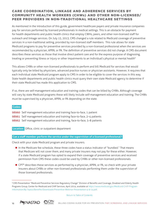#### <span id="page-19-0"></span>Care coordination, linkage and adherence services by Community health workers (CHWs) and other non-licensed/ peer providers in non-traditional healthcare settings

As mentioned in the introduction of this guide, government healthcare payers and private insurance companies pay for services performed by licensed professionals in medical settings. This is an obstacle for payment for health departments and public health clinics that employ CWHs, peers, and other non-licensed staff for outreach and linkage services. On July 15, 2013, CMS changed a rule related to Medicaid coverage of preventive services in a non-traditional setting, provided by non-licensed staff members. This rule allows for state Medicaid programs to pay for preventive services provided by a non-licensed professional when the services are recommended by a physician, APRN, or PA. The definition of preventive services did not change. A CMS document describes these services as those that involve direct patient care and for the express purpose of diagnosing, treating or preventing illness or injury or other impairments to an individual's physical or mental health<sup>6</sup>

This allows CHWs or other non-licensed professionals to perform and bill Medicaid for services that would typically only be billed by physicians, advanced practice nurses or physician assistants. However, it requires that each individual state Medicaid program apply to CMS in order to be eligible to cover the services in this way. State health departments and public health clinics must query their own state Medicaid agency to determine if their state Medicaid has made this application to CMS.

If so, there are self-management education and training codes that can be billed by CHWs. Although coverage will vary by state Medicaid programs these will likely include self-management education and training. The CHWs must be supervised by a physician, APRN, or PA depending on the state.

#### **Codes:**

98960 Self management education and training face-to-face, 1 patient

98961 Self management education and training face-to-face, 2–4 patients

98962 Self management education and training, face-to-face, 5–8 patients

 **Location:** Office, clinic or outpatient department

#### **Can a staff member perform the service under the supervision of a licensed professional?**

Check with your state Medicaid program and private insurers.

- **n** In the Medicare fee schedule, these three codes have a status indicator of "bundled." That means that Medicare will not cover them, and many private insurers may not pay for these either. However, if a state Medicaid program has opted to expand their coverage of preventive services and received permission from CMS these codes could be used by CHWs or other non-licensed professionals.
- CPT<sup>®</sup> describes these services as performed by a physician, APRN, or PA, so check with your private insurers about CHWs or other non-licensed professionals performing them under the supervision of those licensed professionals.





<sup>6</sup>CMS Presentation "Medicaid Preventive Services Regulatory Change" Division of Benefits and Coverage, Disabled and Elderly Health Programs Group, Center for Medicaid and CHIP Services, April 2014, available at [https://www.medicaid.gov/Medicaid-CHIP-Program-](https://www.medicaid.gov/Medicaid-CHIP-Program-Information/By-Topics/Benefits/Downloads/Preventive-Webinar-Presentation-4-9-14.pdf)[Information/By-Topics/Benefits/Downloads/Preventive-Webinar-Presentation-4-9-14.pdf](https://www.medicaid.gov/Medicaid-CHIP-Program-Information/By-Topics/Benefits/Downloads/Preventive-Webinar-Presentation-4-9-14.pdf).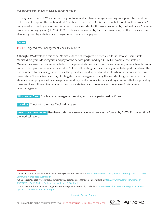#### <span id="page-20-0"></span>Targeted case management

In many cases, it is a CHW who is reaching out to individuals to encourage screening, to support the initiation of PrEP and to support the continued PrEP treatment. The work of CHWs is critical but too often, their work isn't recognized and paid by insurance companies. There are codes for this work described by the Healthcare Common Procedure Coding System (HCPCS). HCPCS codes are developed by CMS for its own use, but the codes are often also recognized by state Medicaid programs and commercial payers.

#### **Codes:**

T1017 Targeted case management, each 15 minutes

Although CMS developed this code, Medicare does not recognize it or set a fee for it. However, some state Medicaid programs do recognize and pay for the service performed by a CHW. For example, the state of Mississippi allows the service to be billed in the patient's home, in a school, in a community mental health center and in "other place of service not identified."7 Texas allows targeted case management to be performed over the phone or face-to-face using these codes. The provider should append modifier IU when the service is performed face-to-face.<sup>8</sup> Florida Medicaid pays for targeted case management using these codes for group services.<sup>9</sup> Each state Medicaid program sets its own policies and payment amounts. Groups and organizations that are providing these services will need to check with their own state Medicaid program about coverage of this targeted case management.

 **Who can perform:** This is a case management service, and may be performed by CHWs.

 **Location:** Check with the state Medicaid program.

 **How to use these codes:** Use these codes for case management services performed by CHWs. Document time in the medical record.



<sup>7</sup> Community/Private Mental Health Center Billing Guidelines, available at [https://www.medicaid.ms.gov/wp-content/uploads/2014/03/](https://www.medicaid.ms.gov/wp-content/uploads/2014/03/CommunityMentalHealthCenter.pdf) [CommunityMentalHealthCenter.pdf.](https://www.medicaid.ms.gov/wp-content/uploads/2014/03/CommunityMentalHealthCenter.pdf)

<sup>8 2012</sup> Texas Medicaid Provider Procedures Manual, Targeted Case Management, available at [http://www.tmhp.com/HTMLmanuals/](http://www.tmhp.com/HTMLmanuals/TMPPM/2012/Vol2_Children) [TMPPM/2012/Vol2\\_Children's\\_Services\\_Handbook.17.081.html](http://www.tmhp.com/HTMLmanuals/TMPPM/2012/Vol2_Children).

<sup>9</sup> Florida Medicaid, Mental Health Targeted Case Management Handbook, available at [http://www.flatherapy.com/therapy/wp-content/](http://www.flatherapy.com/therapy/wp-content/uploads/2010/05/CTCM-Handbook.pdf) [uploads/2010/05/CTCM-Handbook.pdf](http://www.flatherapy.com/therapy/wp-content/uploads/2010/05/CTCM-Handbook.pdf).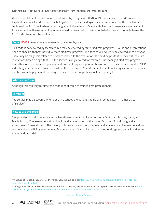#### <span id="page-21-0"></span>Mental health assessment by non-physician

When a mental health assessment is performed by a physician, APRN, or PA, the clinician use E/M codes. Psychiatrists, social workers and psychologists use psychiatric diagnostic interview codes, in the Psychiatry section of the CPT® book when performing an initial evaluation. Some state Medicaid programs allow payment for a mental health assessment by non-licensed professionals, who are not listed above and not able to use the CPT® codes to report the evaluation.

#### **Code:** H0031: Mental health assessment, by non-physician

This code is not covered by Medicare, but may be covered by state Medicaid programs. Groups and organizations need to check with their individual state Medicaid programs. The service will typically be covered once per year. There may be diagnosis related restrictions related to the evaluation. It would be prudent to review if there are restrictions based on age, that is, if the service is only covered for children. One managed Medicaid program limits this to one assessment per year and does not require a prior authorization. This may require modifier "MO" indicating a master level provider has done the assessment.<sup>10</sup> Medicaid in the state of Georgia covers the service and has variable payment depending on the credentials of professional performing it.<sup>11</sup>

#### **Who can perform:**

Although this will vary by state, the code is applicable to trained para-professionals.

#### **Location:**

The service may be covered when done in a school, the patient's home or in some cases, in "other place of service."

#### **How to use this code:**

The provider must document a mental health assessment that includes the patient's past history, social, and family history. The assessment should include documentation of the patient's current functioning and an assessment of mental status. The history includes education, employment and any legal involvement as well as relationships and living environment. Document use of alcohol, tobacco and other drugs and behaviors that put the individual at risk.



<sup>10</sup> Magellan of Florida, Behavioral Health Therapy Services, available at [https://www.magellancompletecareoffl.com/media/916790/](https://www.magellancompletecareoffl.com/media/916790/appendix_k_combined.pdf) [appendix\\_k\\_combined.pdf.](https://www.magellancompletecareoffl.com/media/916790/appendix_k_combined.pdf)

<sup>&</sup>lt;sup>11</sup> Georgia, Medicaid State Plan, Policy and Methods for Establishing Payment Rates for Other Types of Care for Services, available at [https://](https://www.medicaid.gov/State-resource-center/Medicaid-State-Plan-Amendments/Downloads/GA/GA-11-007-Att.pdf) [www.medicaid.gov/State-resource-center/Medicaid-State-Plan-Amendments/Downloads/GA/GA-11-007-Att.pdf.](https://www.medicaid.gov/State-resource-center/Medicaid-State-Plan-Amendments/Downloads/GA/GA-11-007-Att.pdf)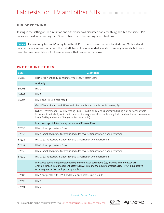#### <span id="page-22-0"></span>Lab tests for HIV and other STIs  $\mathcal{C}^{\mathcal{A}}$

#### HIV screening

Testing in the setting or PrEP initiation and adherence was discussed earlier in this guide, but the same CPT® codes are used for screening for HIV and other STI in other settings and situations.

 **Codes:** HIV screening has an "A" rating from the USPSTF. It is a covered service by Medicare, Medicaid and commercial insurance companies. The USPSTF has not recommended specific screening intervals, but does describe recommendations for those intervals. That discussion is below.

#### **Procedure codes**

| <b>Code</b> | <b>Description</b>                                                                                                                                                                                                                                                         |  |
|-------------|----------------------------------------------------------------------------------------------------------------------------------------------------------------------------------------------------------------------------------------------------------------------------|--|
| 86689       | HTLV or HIV antibody, confirmatory test (eg, Western Blot)                                                                                                                                                                                                                 |  |
|             | Antibody                                                                                                                                                                                                                                                                   |  |
| 86701       | $HIV-1$                                                                                                                                                                                                                                                                    |  |
| 86702       | $HIV-2$                                                                                                                                                                                                                                                                    |  |
| 86703       | HIV-1 and HIV-2, single result                                                                                                                                                                                                                                             |  |
|             | (For HIV-1 antigen(s) with HIV-1 and HIV-2 antibodies, single result, use 87389)                                                                                                                                                                                           |  |
|             | (When HIV immunoassay [HIV testing 86701-86703 or 87389] is performed using a kit or transportable<br>instrument that wholly or in part consists of a single use, disposable analytical chamber, the service may be<br>identified by adding modifier 92 to the usual code) |  |
|             | Infectious agent detection by nucleic acid (DNA or RNA)                                                                                                                                                                                                                    |  |
| 87534       | HIV-1, direct probe technique                                                                                                                                                                                                                                              |  |
| 87535       | HIV-1, amplified probe technique, includes reverse transcription when performed                                                                                                                                                                                            |  |
| 87536       | HIV-1, quantification, includes reverse transcription when performed                                                                                                                                                                                                       |  |
| 87357       | HIV-2, direct probe technique                                                                                                                                                                                                                                              |  |
| 87538       | HIV-2, amplified probe technique, includes reverse transcription when performed                                                                                                                                                                                            |  |
| 87539       | HIV-2, quantification, includes reverse transcription when performed                                                                                                                                                                                                       |  |
|             | Infectious agent antigen detection by immunoassay technique, (eg, enzyme immunoassay [EIA],<br>enzyme- linked immunosorbent assay [ELISA], immunochemiluminometric assay [IMCA]) qualitative<br>or semiquantitative, multiple-step method                                  |  |
| 87389       | HIV-1 antigen(s), with HIV-1 and HIV-2 antibodies, single result                                                                                                                                                                                                           |  |
| 87390       | $HIV-1$                                                                                                                                                                                                                                                                    |  |
| 87391       | $HIV-2$                                                                                                                                                                                                                                                                    |  |

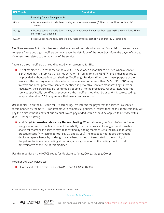<span id="page-23-0"></span>

| <b>HCPCS code</b> | <b>Description</b>                                                                                                            |  |
|-------------------|-------------------------------------------------------------------------------------------------------------------------------|--|
|                   | <b>Screening for Medicare patients</b>                                                                                        |  |
| G0432             | Infectious agent antibody detection by enzyme immunoassay (EIA) technique, HIV-1 and/or HIV-2,<br>screening                   |  |
| G0433             | Infectious agent antibody detection by enzyme-linked immunosorbent asssay (ELISA) technique, HIV-1<br>and/or HIV-2, screening |  |
| G0435             | Infectious agent antibody detection by rapid antibody test, HIV-1 and/or HIV-2, screening                                     |  |

Modifiers are two-digit codes that are added to a procedure code when submitting a claim to an insurance company. These two digit modifiers do not change the definition of the code, but inform the payer of special circumstances related to the provision of the service.

There are three modifiers that could be used when screening for HIV.

■ Use of modifier 33: In response to the ACA, CPT® developed a modifier to be used when a service is provided that is a service that carries an "A" or "B" rating from the USPSTF (and is thus required to be provided without patient cost sharing). Modifier 33 **Services:** When the primary purpose of the service is the delivery of an evidence based service in accordance with a USPSTF "A" or "B" rating in effect and other preventive services identified in preventive services mandates (legislative or regulatory), the service may be identified by adding 33 to the procedure. For separately reported services specifically identified as preventive, the modifier should not be used.<sup>12</sup> It is correct coding to append modifier 33 to any service that meets this description.

Use modifier 33 on the CPT code for HIV screening. This informs the payer that the service is a service recommended by the USPSTF. For patients with commercial policies, it insures that the insurance company will pay the claim without a patient due amount. No co-pay or deductible should be applied to a service with a USPSTF "A" or "B" rating.

■ Modifier 92 **Alternative Laboratory Platform Testing:** When laboratory testing is being performed using a kit or transportable instrument that wholly or in part consists of a single use, disposable analytical chamber, the service may be identified by adding modifier 92 to the usual laboratory procedure code (HIV testing 86701–86703, and 87389). The test does not require permanent dedicated space, hence by its design may be hand carried or transported to the vicinity of the patient for immediate testing at that site, although location of the testing is not in itself determinative of the use of this modifier.

Use this modifier on the HCPCS codes for Medicare patients, G0432, G0433, G0435.

#### Modifier QW CLIA waived test

■ CLIA waived tests on this list are 86701, G0433, G0434 87389



<sup>&</sup>lt;sup>12</sup> Current Procedural Terminology 2016, American Medical Association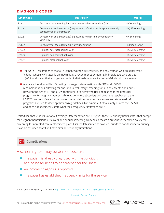#### **Diagnosis codes**

| <b>ICD-10 Code</b> | <b>Description</b>                                                                                      | <b>Use For</b>     |
|--------------------|---------------------------------------------------------------------------------------------------------|--------------------|
| Z11.4              | Encounter for screening for human immunodeficiency virus [HIV]                                          | HIV screening      |
| Z <sub>20.2</sub>  | Contact with and (suspected) exposure to infections with a predominantly<br>sexual mode of transmission | HIV, STI screening |
| 720.6              | Contact with and (suspected) exposure to human immunodeficiency<br>virus [HIV]                          | HIV screening      |
| Z51.81             | Encounter for therapeutic drug level monitoring                                                         | PrEP monitoring    |
| Z72.51             | High risk heterosexual behavior                                                                         | HIV, STI screening |
| Z72.52             | High risk homosexual behavior                                                                           | HIV, STI screening |
| Z72.53             | High risk bisexual behavior                                                                             | HIV, STI screening |

- **n** The USPSTF recommends that all pregnant women be screened, and any woman who presents while in labor whose HIV status is unknown. It also recommends screening in individuals who are age 15–65, and states that younger and older individuals who are increased risk should be screened.
- Medicare has aligned its HIV testing coverage determination with CDC and USPSTF recommendations, allowing for one, annual voluntary screening for all adolescents and adults between the age of 15 and 65, without regard to perceived risk and testing three times per pregnancy for pregnant women. While all commercial carriers will cover the test, because the USPSTF does not give a frequency recommendation, commercial carriers and state Medicaid programs are free to develop their own guidelines. For example, Aetna simply quotes the USPSTF and does not specifically state what their frequency limitations are.<sup>13</sup>

UnitedHealthcare, in its National Coverage Determination N210.7 gives these frequency limits states that except for pregnant beneficiaries, it covers one annual screening. UnitedHealthcare's preventive medicine policy for screening for non-Medicare replacement plans lists the lab service as covered, but does not describe frequency. It can be assumed that it will have similar frequency limitations.

#### **PD** Complications

A screening test may be denied because:

- $\blacksquare$  The patient is already diagnosed with the condition, and no longer needs to be screened for the illness.
- $\blacksquare$  An incorrect diagnosis is reported.
- $\blacksquare$  The payer has established frequency limits for the service.



<sup>13</sup> Aetna, HIV Testing Policy, available at http://www.aetna.com/cpb/medical/data/500\_599/0542.html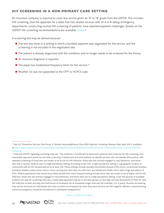#### <span id="page-25-0"></span>HIV screening in a non-primary care setting

An insurance company is required to cover any service given an "A" or "B" grade from the USPTSF. This includes HIV screening. (See the appendix for a table that lists related services with an A or B rating.) Emergency departments, conducting routine HIV screening of patients, have reported payment challenges. Details on the USPSTF HIV screening recommendations are available [online.](http://www.uspreventiveservicestaskforce.org/Page/Document/UpdateSummaryFinal/human-immunodeficiency-virus-hiv-infection-screening) 14

A screening test may be denied because:

- **n** The test was done in a setting in which a bundled payment was negotiated for the service, and the screening is not included in the negotiated rate.
- **n** The patient is already diagnosed with the condition, and no longer needs to be screened for the illness.
- $\blacksquare$  An incorrect diagnosis is reported.
- $\blacksquare$  The payer has established frequency limits for the service.<sup>15</sup>
- Modifier 33 was not appended to the CPT<sup>®</sup> or HCPCS code.





<sup>14</sup> See U.S. Preventive Services Task Force. H. *Human Immunodeficiency Virus (HIV) Infection: Screening.* Release Date: April 2013, available at: [http://www.uspreventiveservicestaskforce.org/Page/Document/UpdateSummaryFinal/human-immunodeficiency-virus-hiv-infection](http://www.uspreventiveservicestaskforce.org/Page/Document/UpdateSummaryFinal/human-immunodeficiency-virus-hiv-infection-screening)[screening.](http://www.uspreventiveservicestaskforce.org/Page/Document/UpdateSummaryFinal/human-immunodeficiency-virus-hiv-infection-screening)

<sup>15</sup> From the USPSTF regarding screening intervals: "The evidence is insufficient to determine optimum time intervals for HIV screening. One reasonable approach would be one-time screening of adolescent and adult patients to identify persons who are already HIV-positive, with repeated screening of those who are known to be at risk for HIV infection, those who are actively engaged in risky behaviors, and those who live or receive medical care in a high-prevalence setting. According to the CDC, a high-prevalence setting is a geographic location or community with an HIV seroprevalence of at least 1%. These settings include sexually transmitted disease (STD) clinics, correctional facilities, homeless shelters, tuberculosis clinics, clinics serving men who have sex with men, and adolescent health clinics with a high prevalence of STDs. Patient populations that would more likely benefit from more frequent testing include those who are known to be at higher risk for HIV infection, those who are actively engaged in risky behaviors, and those who live in a high-prevalence setting. Given the paucity of available evidence for specific screening intervals, a reasonable approach may be to rescreen groups at very high risk (see Assessment of Risk) for new HIV infection at least annually and individuals at increased risk at somewhat longer intervals (for example, 3 to 5 years). Routine rescreening may not be necessary for individuals who have not been at increased risk since they were found to be HIV-negative. Women screened during a previous pregnancy should be rescreened in subsequent pregnancies."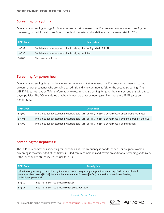#### <span id="page-26-0"></span>Screening for other STIs

#### **Screening for syphilis**

One annual screening for syphilis in men or women at increased risk. For pregnant women, one screening per pregnancy; two additional screenings in the third trimester and at delivery if at increased risk for STIs.

| l CPT® Code | <b>Description</b>                                                       |
|-------------|--------------------------------------------------------------------------|
| 86592       | Syphilis test, non-treponemal antibody; qualitative (eg, VDRL, RPR, ART) |
| 86593       | Syphilis test, non-troponemal antibody; quantitative                     |
| 86780       | Treponema pallidum                                                       |

#### **Screening for gonorrhea**

One annual screening for gonorrhea in women who are not at increased risk. For pregnant women, up to two screenings per pregnancy who are at increased risk and who continue at risk for the second screening. The USPSTF does not have sufficient information to recommend screening for gonorrhea in men, and this will affect payer policies. The ACA mandated that health insurers cover screening services that the USPSTF gives an A or B rating.

| l CPT® Code | <b>Description</b>                                                                                       |
|-------------|----------------------------------------------------------------------------------------------------------|
| 87590       | Infectious agent detection by nucleic acid (DNA or RNA) Neisseria gonorrhoeae, direct probe technique    |
| 87591       | Infectious agent detection by nucleic acid (DNA or RNA) Neisseria gonorrhoeae, amplified probe technique |
| 87592       | Infectious agent detection by nucleic acid (DNA or RNA) Neisseria gonorrhoeae, quantification            |

#### **Screening for hepatitis B**

The USPSTF recommends screening for individuals at risk. Frequency is not described. For pregnant women, screening is recommended at the first visit. Medicare recommends and covers an additional screening at delivery if the individual is still at increased risk for STIs.

| l CPT® Code                                                                                                                                                                                                                               | <b>Description</b>                                 |  |
|-------------------------------------------------------------------------------------------------------------------------------------------------------------------------------------------------------------------------------------------|----------------------------------------------------|--|
| Infectious agent antigen detection by immunoassay technique, (eg, enzyme immunoassay [EIA], enzyme-linked<br>immunosorbent assay [ELISA], immunochemiluminometric assay [IMCA]) qualitative or semiquantitative,<br>multiple-step method; |                                                    |  |
| 87340                                                                                                                                                                                                                                     | hepatitis B surface antigen (HBsAg)                |  |
| 87341                                                                                                                                                                                                                                     | hepatitis B surface antigen (HBsAg) neutralization |  |

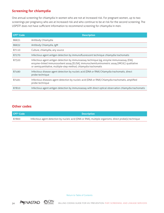#### **Screening for chlamydia**

One annual screening for chlamydia in women who are not at increased risk. For pregnant women, up to two screenings per pregnancy who are at increased risk and who continue to be at risk for the second screening. The USPSTF does not have sufficient information to recommend screening for chlamydia in men.

| <b>CPT<sup>®</sup></b> Code | <b>Description</b>                                                                                                                                                                                                                                             |
|-----------------------------|----------------------------------------------------------------------------------------------------------------------------------------------------------------------------------------------------------------------------------------------------------------|
| 86631                       | Antibody Chlamydia                                                                                                                                                                                                                                             |
| 86632                       | Antibody Chlamydia, IgM                                                                                                                                                                                                                                        |
| 87110                       | Culture, chlamydia, any source                                                                                                                                                                                                                                 |
| 87270                       | Infectious agent antigen detection by immunofluorescent technique chlamydia trachomatis                                                                                                                                                                        |
| 87320                       | Infectious agent antigen detection by immunoassay technique (eg, enzyme immunoassay {EIA],<br>enzyme-linked immunosorbent assay [ELISA], immunochemiluminometric assay [IMCA]) qualitative<br>or semiquantitative, multiple-step method, chlamydia trachomatis |
| 87490                       | Infectious disease agent detection by nucleic acid (DNA or RNA) Chlamydia trachomatis, direct<br>probe technique                                                                                                                                               |
| 87491                       | Infectious diseases agent detection by nucleic acid (DNA or RNA) Chlamydia trachomatis, amplified<br>probe technique                                                                                                                                           |
| 87810                       | Infectious agent antigen detection by immunoassay with direct optical observation chlamydia trachomatis                                                                                                                                                        |

#### **Other codes**

| <b>CPT® Code</b> | <b>Description</b>                                                                                     |
|------------------|--------------------------------------------------------------------------------------------------------|
| 87800            | Infectious agent detection by nucleic acid (DNA or RNA), multiple organisms; direct probe(s) technique |



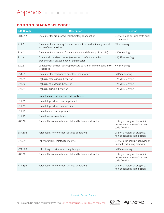#### <span id="page-28-0"></span>**Common Diagnosis codes**

| ICD-10 code | <b>Description</b>                                                                                      | <b>Use for</b>                                                                    |
|-------------|---------------------------------------------------------------------------------------------------------|-----------------------------------------------------------------------------------|
| Z01.812     | Encounter for pre-procedural laboratory examination                                                     | Use for blood or urine tests prior<br>to treatment.                               |
| Z11.3       | Encounter for screening for infections with a predominantly sexual<br>mode of transmission              | STI screening                                                                     |
| Z11.4       | Encounter for screening for human immunodeficiency virus [HIV]                                          | HIV screening                                                                     |
| Z20.2       | Contact with and (suspected) exposure to infections with a<br>predominantly sexual mode of transmission | HIV, STI screening                                                                |
| Z20.6       | Contact with and (suspected) exposure to human immunodeficiency<br>virus [HIV]                          | HIV screening                                                                     |
| Z51.81      | Encounter for therapeutic drug level monitoring                                                         | PrEP monitoring                                                                   |
| Z72.51      | High risk heterosexual behavior                                                                         | HIV, STI screening                                                                |
| Z72.52      | High risk homosexual behavior                                                                           | HIV, STI screening                                                                |
| Z72.53      | High risk bisexual behavior                                                                             | HIV, STI screening                                                                |
|             | Opioid abuse-no specific code for IV use                                                                |                                                                                   |
| F11.20      | Opioid dependence, uncomplicated                                                                        |                                                                                   |
| F11.21      | Opioid dependence in remission                                                                          |                                                                                   |
| F11.10      | Opioid abuse, uncomplicated                                                                             |                                                                                   |
| F11.90      | Opioid use, uncomplicated                                                                               |                                                                                   |
| Z86.59      | Personal history of other mental and behavioral disorders                                               | History of drug use. For opioid<br>dependence in remission, use<br>code from F11. |
| Z87.898     | Personal history of other specified conditions                                                          | Use for a history of drug use,<br>non-dependent, in remission.                    |
| Z72.89      | Other problems related to lifestyle                                                                     | Use for drug seeking behavior or<br>unhealthy drinking behavior                   |
| Z79.899     | Other long term (current) drug therapy                                                                  | PrEP monitoring                                                                   |
| Z86.59      | Personal history of other mental and behavioral disorders                                               | History of drug use. For opioid<br>dependence in remission, use<br>code from F11. |
| Z87.898     | Personal history of other specified conditions                                                          | Use for a history of drug use,<br>non-dependent, in remission.                    |

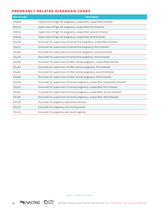#### <span id="page-29-0"></span>**Pregnancy related diagnosis codes**

| ICD-10 code | <b>Description</b>                                                                |
|-------------|-----------------------------------------------------------------------------------|
| 009.90      | Supervision of high risk pregnancy, unspecified, unspecified trimester            |
| 009.91      | Supervision of high risk pregnancy, unspecified, first trimester                  |
| 009.92      | Supervision of high risk pregnancy, unspecified, second trimester                 |
| 009.93      | Supervision of high risk pregnancy, unspecified, third trimester                  |
| Z34.00      | Encounter for supervision of normal first pregnancy, unspecified trimester        |
| Z34.01      | Encounter for supervision of normal first pregnancy, first trimester              |
| Z34.02      | Encounter for supervision of normal first pregnancy, second trimester             |
| Z34.03      | Encounter for supervision of normal first pregnancy, third trimester              |
| Z34.80      | Encounter for supervision of other normal pregnancy, unspecified trimester        |
| Z34.81      | Encounter for supervision of other normal pregnancy, first trimester              |
| Z34.82      | Encounter for supervision of other normal pregnancy, second trimester             |
| Z34.83      | Encounter for supervision of other normal pregnancy, third trimester              |
| Z34.90      | Encounter for supervision of normal pregnancy, unspecified, unspecified trimester |
| Z34.91      | Encounter for supervision of normal pregnancy, unspecified, first trimester       |
| Z34.92      | Encounter for supervision of normal pregnancy, unspecified, second trimester      |
| Z34.93      | Encounter for supervision of normal pregnancy, unspecified, third trimester       |
| Z32.00      | Encounter for pregnancy test result unknown                                       |
| Z32.01      | Encounter for pregnancy test result positive                                      |
| Z32.02      | Encounter for pregnancy test result negative                                      |



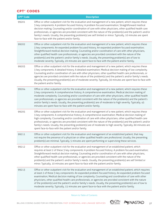#### <span id="page-30-0"></span>**CPT® Codes**

| <b>CPT<sup>®</sup> Code</b> | <b>Description</b>                                                                                                                                                                                                                                                                                                                                                                                                                                                                                                                                                                                                                                               |
|-----------------------------|------------------------------------------------------------------------------------------------------------------------------------------------------------------------------------------------------------------------------------------------------------------------------------------------------------------------------------------------------------------------------------------------------------------------------------------------------------------------------------------------------------------------------------------------------------------------------------------------------------------------------------------------------------------|
| 99201                       | Office or other outpatient visit for the evaluation and management of a new patient, which requires these<br>3 key components: A problem focused history; A problem focused examination; Straightforward medical<br>decision making. Counseling and/or coordination of care with other physicians, other qualified health care<br>professionals, or agencies are provided consistent with the nature of the problem(s) and the patient's and/or<br>family's needs. Usually, the presenting problem(s) are self limited or minor. Typically, 10 minutes are spent<br>face-to-face with the patient and/or family.                                                 |
| 99202                       | Office or other outpatient visit for the evaluation and management of a new patient, which requires these<br>3 key components: An expanded problem focused history; An expanded problem focused examination;<br>Straightforward medical decision making. Counseling and/or coordination of care with other physicians,<br>other qualified health care professionals, or agencies are provided consistent with the nature of the<br>problem(s) and the patient's and/or family's needs. Usually, the presenting problem(s) are of low to<br>moderate severity. Typically, 20 minutes are spent face-to-face with the patient and/or family.                       |
| 99203                       | Office or other outpatient visit for the evaluation and management of a new patient, which requires these<br>3 key components: A detailed history; A detailed examination; Medical decision making of low complexity.<br>Counseling and/or coordination of care with other physicians, other qualified health care professionals, or<br>agencies are provided consistent with the nature of the problem(s) and the patient's and/or family's needs.<br>Usually, the presenting problem(s) are of moderate severity. Typically, 30 minutes are spent face-to-face with<br>the patient and/or family.                                                              |
| 99204                       | Office or other outpatient visit for the evaluation and management of a new patient, which requires these<br>3 key components: A comprehensive history; A comprehensive examination; Medical decision making of<br>moderate complexity. Counseling and/or coordination of care with other physicians, other qualified health<br>care professionals, or agencies are provided consistent with the nature of the problem(s) and the patient's<br>and/or family's needs. Usually, the presenting problem(s) are of moderate to high severity. Typically, 45<br>minutes are spent face-to-face with the patient and/or family.                                       |
| 99205                       | Office or other outpatient visit for the evaluation and management of a new patient, which requires these<br>3 key components: A comprehensive history; A comprehensive examination; Medical decision making of<br>high complexity. Counseling and/or coordination of care with other physicians, other qualified health care<br>professionals, or agencies are provided consistent with the nature of the problem(s) and the patient's and/or<br>family's needs. Usually, the presenting problem(s) are of moderate to high severity. Typically, 60 minutes are<br>spent face-to-face with the patient and/or family.                                           |
| 99211                       | Office or other outpatient visit for the evaluation and management of an established patient, that may<br>not require the presence of a physician or other qualified health care professional. Usually, the presenting<br>problem(s) are minimal. Typically, 5 minutes are spent performing or supervising these services.                                                                                                                                                                                                                                                                                                                                       |
| 99212                       | Office or other outpatient visit for the evaluation and management of an established patient, which<br>requires at least 2 of these 3 key components: A problem focused history; A problem focused examination;<br>Straightforward medical decision making. Counseling and/or coordination of care with other physicians,<br>other qualified health care professionals, or agencies are provided consistent with the nature of the<br>problem(s) and the patient's and/or family's needs. Usually, the presenting problem(s) are self limited or<br>minor. Typically, 10 minutes are spent face-to-face with the patient and/or family.                          |
| 99213                       | Office or other outpatient visit for the evaluation and management of an established patient, which requires<br>at least 2 of these 3 key components: An expanded problem focused history; An expanded problem focused<br>examination; Medical decision making of low complexity. Counseling and coordination of care with other<br>physicians, other qualified health care professionals, or agencies are provided consistent with the nature<br>of the problem(s) and the patient's and/or family's needs. Usually, the presenting problem(s) are of low to<br>moderate severity. Typically, 15 minutes are spent face-to-face with the patient and/or family. |

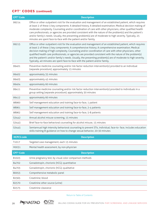#### **CPT® Codes (continued)**

| <b>CPT<sup>®</sup></b> Code<br><b>Description</b>                                                                                                                                                                                                                                                                                                                                                                                                                                                                                                                                                                                                      |  |
|--------------------------------------------------------------------------------------------------------------------------------------------------------------------------------------------------------------------------------------------------------------------------------------------------------------------------------------------------------------------------------------------------------------------------------------------------------------------------------------------------------------------------------------------------------------------------------------------------------------------------------------------------------|--|
| Office or other outpatient visit for the evaluation and management of an established patient, which requires<br>99214<br>at least 2 of these 3 key components: A detailed history; A detailed examination; Medical decision making of<br>moderate complexity. Counseling and/or coordination of care with other physicians, other qualified health<br>care professionals, or agencies are provided consistent with the nature of the problem(s) and the patient's<br>and/or family's needs. Usually, the presenting problem(s) are of moderate to high severity. Typically, 25<br>minutes are spent face-to-face with the patient and/or family.       |  |
| Office or other outpatient visit for the evaluation and management of an established patient, which requires<br>99215<br>at least 2 of these 3 key components: A comprehensive history; A comprehensive examination; Medical<br>decision making of high complexity. Counseling and/or coordination of care with other physicians, other<br>qualified health care professionals, or agencies are provided consistent with the nature of the problem(s)<br>and the patient's and/or family's needs. Usually, the presenting problem(s) are of moderate to high severity.<br>Typically, 40 minutes are spent face-to-face with the patient and/or family. |  |
| Preventive medicine counseling and/or risk factor reduction intervention(s) provided to an individual<br>99401<br>(separate procedure); approximately 15 minutes                                                                                                                                                                                                                                                                                                                                                                                                                                                                                       |  |
| approximately 35 minutes<br>99402                                                                                                                                                                                                                                                                                                                                                                                                                                                                                                                                                                                                                      |  |
| approximately 45 minutes<br>99403                                                                                                                                                                                                                                                                                                                                                                                                                                                                                                                                                                                                                      |  |
| approximately 60 minutes<br>99404                                                                                                                                                                                                                                                                                                                                                                                                                                                                                                                                                                                                                      |  |
| Preventive medicine counseling and/or risk factor reduction intervention(s) provided to individuals in a<br>99411<br>group setting (separate procedure); approximately 30 minutes                                                                                                                                                                                                                                                                                                                                                                                                                                                                      |  |
| approximately 60 minutes<br>99412                                                                                                                                                                                                                                                                                                                                                                                                                                                                                                                                                                                                                      |  |
| 98960<br>Self management education and training face-to-face, 1 patient                                                                                                                                                                                                                                                                                                                                                                                                                                                                                                                                                                                |  |
| Self management education and training face-to-face, 2-4 patients<br>98961                                                                                                                                                                                                                                                                                                                                                                                                                                                                                                                                                                             |  |
| Self management education and training face-to-face, 5-8 patients<br>98962                                                                                                                                                                                                                                                                                                                                                                                                                                                                                                                                                                             |  |
| G0442<br>Annual alcohol misuse screening, 15 minutes                                                                                                                                                                                                                                                                                                                                                                                                                                                                                                                                                                                                   |  |
| Brief face-to-face behavioral counseling for alcohol misuse, 15 minutes<br>G0443                                                                                                                                                                                                                                                                                                                                                                                                                                                                                                                                                                       |  |
| G0445<br>Semiannual high intensity behavioral counseling to prevent STIs, individual, face-to-face, includes education<br>skills training & guidance on how to change sexual behavior, 20-30 minutes                                                                                                                                                                                                                                                                                                                                                                                                                                                   |  |
| <b>HCPCS code</b><br><b>Description</b>                                                                                                                                                                                                                                                                                                                                                                                                                                                                                                                                                                                                                |  |
| Targeted case management, each 15 minutes<br>T1017                                                                                                                                                                                                                                                                                                                                                                                                                                                                                                                                                                                                     |  |
| Mental health assessment, by non-physician<br>H0031                                                                                                                                                                                                                                                                                                                                                                                                                                                                                                                                                                                                    |  |
| <b>CPT<sup>®</sup> Code</b><br><b>Description</b>                                                                                                                                                                                                                                                                                                                                                                                                                                                                                                                                                                                                      |  |
| Urine pregnancy test, by visual color comparison methods<br>81025                                                                                                                                                                                                                                                                                                                                                                                                                                                                                                                                                                                      |  |
| Gonadotropin, chorionic (hCG); quantitative<br>84702                                                                                                                                                                                                                                                                                                                                                                                                                                                                                                                                                                                                   |  |
| Gonadotropin, chorionic (hCG); qualitative<br>84703                                                                                                                                                                                                                                                                                                                                                                                                                                                                                                                                                                                                    |  |
| Comprehensive metabolic panel<br>80053                                                                                                                                                                                                                                                                                                                                                                                                                                                                                                                                                                                                                 |  |
| Creatinine; blood<br>82565                                                                                                                                                                                                                                                                                                                                                                                                                                                                                                                                                                                                                             |  |
|                                                                                                                                                                                                                                                                                                                                                                                                                                                                                                                                                                                                                                                        |  |
| Creatinine other source (urine)<br>82570                                                                                                                                                                                                                                                                                                                                                                                                                                                                                                                                                                                                               |  |



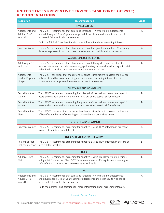#### <span id="page-32-0"></span>**United States Preventive Services Task Force (USPSTF) Recommendations**

| <b>Population</b>                            | <b>Recommendation</b>                                                                                                                                                                                                                   | <b>Grade</b> |
|----------------------------------------------|-----------------------------------------------------------------------------------------------------------------------------------------------------------------------------------------------------------------------------------------|--------------|
|                                              | <b>HIV SCREENING</b>                                                                                                                                                                                                                    |              |
| Adolescents and<br>Adults 15-65<br>Years Old | The USPSTF recommends that clinicians screen for HIV infection in adolescents<br>and adults aged 15 to 65 years. Younger adolescents and older adults who are at<br>increased risk should also be screened.                             | A            |
|                                              | Go to the Clinical Considerations for more information about screening intervals.                                                                                                                                                       |              |
| Pregnant Women                               | The USPSTF recommends that clinicians screen all pregnant women for HIV, including<br>those who present in labor who are untested and whose HIV status is unknown.                                                                      | A            |
|                                              | <b>ALCOHOL MISUSE SCREENING</b>                                                                                                                                                                                                         |              |
| Adults aged 18<br>and older                  | The USPSTF recommends that clinicians screen adults aged 18 years or older for<br>alcohol misuse and provide persons engaged in risky or hazardous drinking with brief<br>behavioral counseling interventions to reduce alcohol misuse  | Β            |
| Adolescents<br>(under 18 years<br>of age)    | The USPSTF concludes that the current evidence is insufficient to assess the balance<br>of benefits and harms of screening and behavioral counseling interventions in<br>primary care settings to reduce alcohol misuse in adolescents. |              |
|                                              | <b>CHLAYMIDIA AND GONORRHEA</b>                                                                                                                                                                                                         |              |
| Sexually Active<br>Women                     | The USPSTF recommends screening for chlamydia in sexually active women age 24<br>years and younger and in older women who are at increased risk for infection.                                                                          | B            |
| Sexually Active<br>Women                     | The USPSTF recommends screening for gonorrhea in sexually active women age 24<br>years and younger and in older women who are at increased risk for infection.                                                                          | B            |
| Sexually Active<br>Men                       | The USPSTF concludes that the current evidence is insufficient to assess the balance<br>of benefits and harms of screening for chlamydia and gonorrhea in men.                                                                          |              |
|                                              | <b>HEP B IN PREGNANT WOMEN</b>                                                                                                                                                                                                          |              |
|                                              | Pregnant Women The USPSTF recommends screening for hepatitis B virus (HBV) infection in pregnant<br>women at their first prenatal visit                                                                                                 | Α            |
|                                              | HEP B AT HIGH RISK FOR INFECTION                                                                                                                                                                                                        |              |
| Persons at High<br>Risk for Infection        | The USPSTF recommends screening for hepatitis B virus (HBV) infection in persons at<br>high risk for infection.                                                                                                                         | B            |
|                                              | HEP <sub>C</sub>                                                                                                                                                                                                                        |              |
| Adults at High<br>Risk                       | The USPSTF recommends screening for hepatitis C virus (HCV) infection in persons<br>at high risk for infection. The USPSTF also recommends offering 1-time screening for<br>HCV infection to adults born between 1945 and 1965.         | B            |
| <b>HIV</b>                                   |                                                                                                                                                                                                                                         |              |
| Adolescents and<br>Adults 15-65<br>Years Old | The USPSTF recommends that clinicians screen for HIV infection in adolescents<br>and adults aged 15 to 65 years. Younger adolescents and older adults who are at<br>increased risk should also be screened.                             | Α            |
|                                              | Go to the Clinical Considerations for more information about screening intervals.                                                                                                                                                       |              |

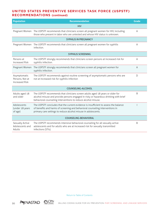#### **United States Preventive Services Task Force (USPSTF) Recommendations (continued)**

| <b>Population</b>                                        | <b>Recommendation</b>                                                                                                                                                                                                                   | <b>Grade</b> |
|----------------------------------------------------------|-----------------------------------------------------------------------------------------------------------------------------------------------------------------------------------------------------------------------------------------|--------------|
|                                                          | <b>HIV</b>                                                                                                                                                                                                                              |              |
| Pregnant Women                                           | The USPSTF recommends that clinicians screen all pregnant women for HIV, including<br>those who present in labor who are untested and whose HIV status is unknown.                                                                      | A            |
| <b>SYPHILIS IN PREGNANCY</b>                             |                                                                                                                                                                                                                                         |              |
| Pregnant Women                                           | The USPSTF recommends that clinicians screen all pregnant women for syphilis<br>infection.                                                                                                                                              | Α            |
| <b>SYPHILIS SCREENING</b>                                |                                                                                                                                                                                                                                         |              |
| Persons at<br><b>Increased Risk</b>                      | The USPSTF strongly recommends that clinicians screen persons at increased risk for<br>syphilis infection.                                                                                                                              | A            |
| Pregnant Women                                           | The USPSTF strongly recommends that clinicians screen all pregnant women for<br>syphilis infection.                                                                                                                                     | $\mathsf{A}$ |
| Asymptomatic<br>Persons, Not at<br><b>Increased Risk</b> | The USPSTF recommends against routine screening of asymptomatic persons who are<br>not at increased risk for syphilis infection                                                                                                         | D            |
|                                                          | COUNSELING-ALCOHOL                                                                                                                                                                                                                      |              |
| Adults aged 18<br>and older                              | The USPSTF recommends that clinicians screen adults aged 18 years or older for<br>alcohol misuse and provide persons engaged in risky or hazardous drinking with brief<br>behavioral counseling interventions to reduce alcohol misuse. | B            |
| Adolescents<br>(under 18 years<br>of age)                | The USPSTF concludes that the current evidence is insufficient to assess the balance<br>of benefits and harms of screening and behavioral counseling interventions in<br>primary care settings to reduce alcohol misuse in adolescents. |              |
| COUNSELING-BEHAVIORAL                                    |                                                                                                                                                                                                                                         |              |
| Sexually Active<br>Adolescents and<br>Adults             | The USPSTF recommends intensive behavioral counseling for all sexually active<br>adolescents and for adults who are at increased risk for sexually transmitted<br>infections (STIs).                                                    | B            |

[Return to Table of Contents](#page-3-0)



30 BILLING CODING GUIDE FOR HIV PREVENTION: PFEP, SCREENING, AND LINKAGE SERVICES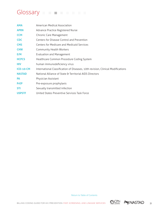### <span id="page-34-0"></span>Glossary **Figure 1999**

| <b>AMA</b>       | American Medical Association                                                    |
|------------------|---------------------------------------------------------------------------------|
| <b>APRN</b>      | Advance Practice Registered Nurse                                               |
| <b>CCM</b>       | Chronic Care Management                                                         |
| <b>CDC</b>       | Centers for Disease Control and Prevention                                      |
| <b>CMS</b>       | Centers for Medicare and Medicaid Services                                      |
| <b>CHW</b>       | Community Health Workers                                                        |
| E/M              | <b>Evaluation and Management</b>                                                |
| <b>HCPCS</b>     | Healthcare Common Procedure Coding System                                       |
| <b>HIV</b>       | human immunodeficiency virus                                                    |
| <b>ICD-10-CM</b> | International Classification of Diseases, 10th revision, Clinical Modifications |
| <b>NASTAD</b>    | National Alliance of State & Territorial AIDS Directors                         |
| <b>PA</b>        | Physician Assistant                                                             |
| <b>PrEP</b>      | Pre-exposure prophylaxis                                                        |
| <b>STI</b>       | Sexually transmitted infection                                                  |
| <b>USPSTF</b>    | United States Preventive Services Task Force                                    |

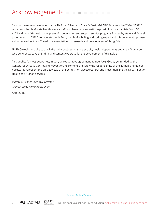### <span id="page-35-0"></span>Acknowledgements **Acknowledgements**

This document was developed by the National Alliance of State & Territorial AIDS Directors (NASTAD). NASTAD represents the chief state health agency staff who have programmatic responsibility for administering HIV/ AIDS and hepatitis health care, prevention, education and support service programs funded by state and federal governments. NASTAD collaborated with Betsy Nicoletti, a billing and coding expert and this document's primary author, as well as the HIV Medicine Association, on research and development of this guide.

NASTAD would also like to thank the individuals at the state and city health departments and the HIV providers who generously gave their time and content expertise for the development of this guide.

This publication was supported, in part, by cooperative agreement number U65PS004390, funded by the Centers for Disease Control and Prevention. Its contents are solely the responsibility of the authors and do not necessarily represent the official views of the Centers for Disease Control and Prevention and the Department of Health and Human Services.

*Murray C. Penner, Executive Director Andrew Gans, New Mexico, Chair*

April 2016